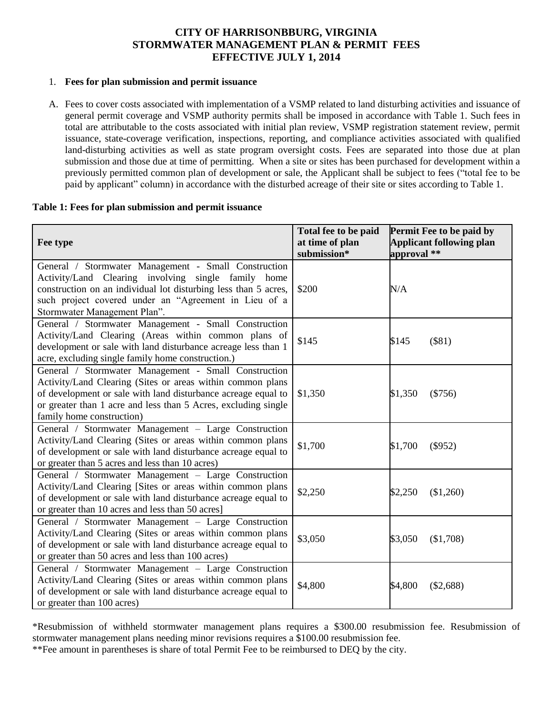# **CITY OF HARRISONBBURG, VIRGINIA STORMWATER MANAGEMENT PLAN & PERMIT FEES EFFECTIVE JULY 1, 2014**

#### 1. **Fees for plan submission and permit issuance**

A. Fees to cover costs associated with implementation of a VSMP related to land disturbing activities and issuance of general permit coverage and VSMP authority permits shall be imposed in accordance with Table 1. Such fees in total are attributable to the costs associated with initial plan review, VSMP registration statement review, permit issuance, state-coverage verification, inspections, reporting, and compliance activities associated with qualified land-disturbing activities as well as state program oversight costs. Fees are separated into those due at plan submission and those due at time of permitting. When a site or sites has been purchased for development within a previously permitted common plan of development or sale, the Applicant shall be subject to fees ("total fee to be paid by applicant" column) in accordance with the disturbed acreage of their site or sites according to Table 1.

#### **Table 1: Fees for plan submission and permit issuance**

| Fee type                                                                                                                                                                                                                                                                           | Total fee to be paid<br>at time of plan<br>submission* | Permit Fee to be paid by<br><b>Applicant following plan</b><br>approval ** |
|------------------------------------------------------------------------------------------------------------------------------------------------------------------------------------------------------------------------------------------------------------------------------------|--------------------------------------------------------|----------------------------------------------------------------------------|
| General / Stormwater Management - Small Construction<br>Activity/Land Clearing involving single family home<br>construction on an individual lot disturbing less than 5 acres,<br>such project covered under an "Agreement in Lieu of a<br>Stormwater Management Plan".            | \$200                                                  | N/A                                                                        |
| General / Stormwater Management - Small Construction<br>Activity/Land Clearing (Areas within common plans of<br>development or sale with land disturbance acreage less than 1<br>acre, excluding single family home construction.)                                                 | \$145                                                  | \$145<br>$($ \$81)                                                         |
| General / Stormwater Management - Small Construction<br>Activity/Land Clearing (Sites or areas within common plans<br>of development or sale with land disturbance acreage equal to<br>or greater than 1 acre and less than 5 Acres, excluding single<br>family home construction) | \$1,350                                                | \$1,350<br>$(\$756)$                                                       |
| General / Stormwater Management - Large Construction<br>Activity/Land Clearing (Sites or areas within common plans<br>of development or sale with land disturbance acreage equal to<br>or greater than 5 acres and less than 10 acres)                                             | \$1,700                                                | \$1,700<br>$(\$952)$                                                       |
| General / Stormwater Management - Large Construction<br>Activity/Land Clearing [Sites or areas within common plans<br>of development or sale with land disturbance acreage equal to<br>or greater than 10 acres and less than 50 acres]                                            | \$2,250                                                | \$2,250<br>(\$1,260)                                                       |
| General / Stormwater Management - Large Construction<br>Activity/Land Clearing (Sites or areas within common plans<br>of development or sale with land disturbance acreage equal to<br>or greater than 50 acres and less than 100 acres)                                           | \$3,050                                                | \$3,050<br>(\$1,708)                                                       |
| General / Stormwater Management - Large Construction<br>Activity/Land Clearing (Sites or areas within common plans<br>of development or sale with land disturbance acreage equal to<br>or greater than 100 acres)                                                                  | \$4,800                                                | \$4,800<br>(\$2,688)                                                       |

\*Resubmission of withheld stormwater management plans requires a \$300.00 resubmission fee. Resubmission of stormwater management plans needing minor revisions requires a \$100.00 resubmission fee.

\*\*Fee amount in parentheses is share of total Permit Fee to be reimbursed to DEQ by the city.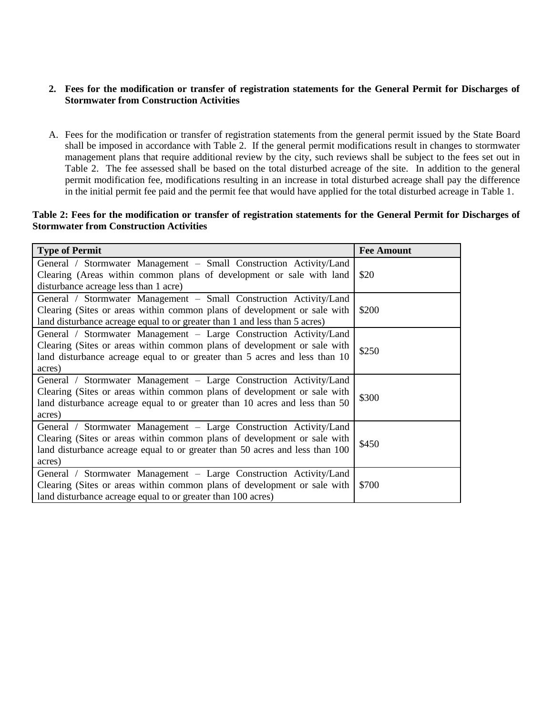#### **2. Fees for the modification or transfer of registration statements for the General Permit for Discharges of Stormwater from Construction Activities**

A. Fees for the modification or transfer of registration statements from the general permit issued by the State Board shall be imposed in accordance with Table 2. If the general permit modifications result in changes to stormwater management plans that require additional review by the city, such reviews shall be subject to the fees set out in Table 2. The fee assessed shall be based on the total disturbed acreage of the site. In addition to the general permit modification fee, modifications resulting in an increase in total disturbed acreage shall pay the difference in the initial permit fee paid and the permit fee that would have applied for the total disturbed acreage in Table 1.

#### **Table 2: Fees for the modification or transfer of registration statements for the General Permit for Discharges of Stormwater from Construction Activities**

| <b>Type of Permit</b>                                                                                                                                                                                                                    | <b>Fee Amount</b> |
|------------------------------------------------------------------------------------------------------------------------------------------------------------------------------------------------------------------------------------------|-------------------|
| General / Stormwater Management - Small Construction Activity/Land<br>Clearing (Areas within common plans of development or sale with land<br>disturbance acreage less than 1 acre)                                                      | \$20              |
| General / Stormwater Management - Small Construction Activity/Land<br>Clearing (Sites or areas within common plans of development or sale with<br>land disturbance acreage equal to or greater than 1 and less than 5 acres)             | \$200             |
| General / Stormwater Management - Large Construction Activity/Land<br>Clearing (Sites or areas within common plans of development or sale with<br>land disturbance acreage equal to or greater than 5 acres and less than 10<br>acres)   | \$250             |
| General / Stormwater Management - Large Construction Activity/Land<br>Clearing (Sites or areas within common plans of development or sale with<br>land disturbance acreage equal to or greater than 10 acres and less than 50<br>acres)  | \$300             |
| General / Stormwater Management - Large Construction Activity/Land<br>Clearing (Sites or areas within common plans of development or sale with<br>land disturbance acreage equal to or greater than 50 acres and less than 100<br>acres) | \$450             |
| General / Stormwater Management - Large Construction Activity/Land<br>Clearing (Sites or areas within common plans of development or sale with<br>land disturbance acreage equal to or greater than 100 acres)                           | \$700             |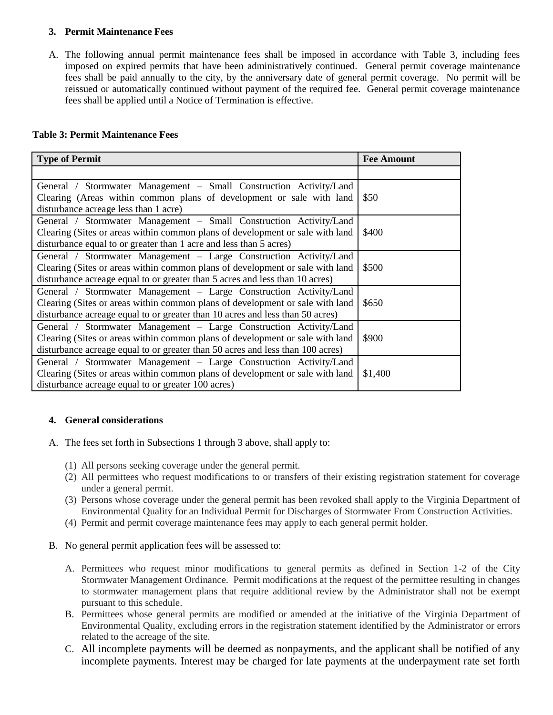### **3. Permit Maintenance Fees**

A. The following annual permit maintenance fees shall be imposed in accordance with Table 3, including fees imposed on expired permits that have been administratively continued. General permit coverage maintenance fees shall be paid annually to the city, by the anniversary date of general permit coverage. No permit will be reissued or automatically continued without payment of the required fee. General permit coverage maintenance fees shall be applied until a Notice of Termination is effective.

## **Table 3: Permit Maintenance Fees**

| <b>Type of Permit</b>                                                          | <b>Fee Amount</b> |
|--------------------------------------------------------------------------------|-------------------|
|                                                                                |                   |
| General / Stormwater Management – Small Construction Activity/Land             |                   |
| Clearing (Areas within common plans of development or sale with land           | \$50              |
| disturbance acreage less than 1 acre)                                          |                   |
| General / Stormwater Management – Small Construction Activity/Land             |                   |
| Clearing (Sites or areas within common plans of development or sale with land  | \$400             |
| disturbance equal to or greater than 1 acre and less than 5 acres)             |                   |
| General / Stormwater Management - Large Construction Activity/Land             |                   |
| Clearing (Sites or areas within common plans of development or sale with land  | \$500             |
| disturbance acreage equal to or greater than 5 acres and less than 10 acres)   |                   |
| General / Stormwater Management - Large Construction Activity/Land             |                   |
| Clearing (Sites or areas within common plans of development or sale with land  | \$650             |
| disturbance acreage equal to or greater than 10 acres and less than 50 acres)  |                   |
| General / Stormwater Management - Large Construction Activity/Land             |                   |
| Clearing (Sites or areas within common plans of development or sale with land  | \$900             |
| disturbance acreage equal to or greater than 50 acres and less than 100 acres) |                   |
| General / Stormwater Management - Large Construction Activity/Land             |                   |
| Clearing (Sites or areas within common plans of development or sale with land  | \$1,400           |
| disturbance acreage equal to or greater 100 acres)                             |                   |

## **4. General considerations**

- A. The fees set forth in Subsections 1 through 3 above, shall apply to:
	- (1) All persons seeking coverage under the general permit.
	- (2) All permittees who request modifications to or transfers of their existing registration statement for coverage under a general permit.
	- (3) Persons whose coverage under the general permit has been revoked shall apply to the Virginia Department of Environmental Quality for an Individual Permit for Discharges of Stormwater From Construction Activities.
	- (4) Permit and permit coverage maintenance fees may apply to each general permit holder.
- B. No general permit application fees will be assessed to:
	- A. Permittees who request minor modifications to general permits as defined in Section 1-2 of the City Stormwater Management Ordinance. Permit modifications at the request of the permittee resulting in changes to stormwater management plans that require additional review by the Administrator shall not be exempt pursuant to this schedule.
	- B. Permittees whose general permits are modified or amended at the initiative of the Virginia Department of Environmental Quality, excluding errors in the registration statement identified by the Administrator or errors related to the acreage of the site.
	- C. All incomplete payments will be deemed as nonpayments, and the applicant shall be notified of any incomplete payments. Interest may be charged for late payments at the underpayment rate set forth